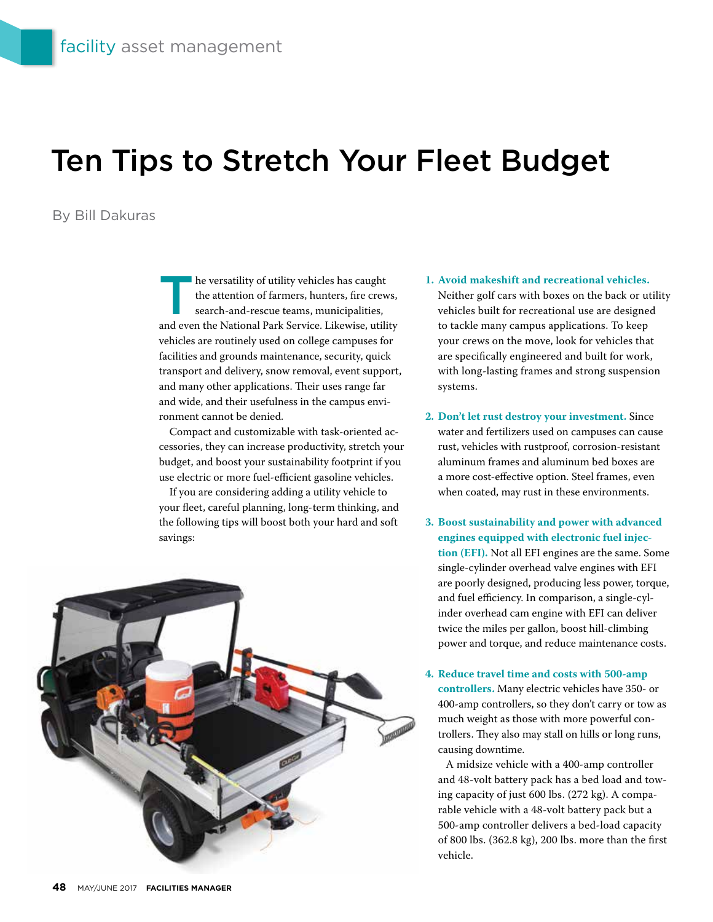## Ten Tips to Stretch Your Fleet Budget

## By Bill Dakuras

I he versatility of utility vehicles has caught the attention of farmers, hunters, fire crews, search-and-rescue teams, municipalities, and even the National Park Service. Likewise, utility vehicles are routinely used on college campuses for facilities and grounds maintenance, security, quick transport and delivery, snow removal, event support, and many other applications. Their uses range far and wide, and their usefulness in the campus environment cannot be denied.

Compact and customizable with task-oriented accessories, they can increase productivity, stretch your budget, and boost your sustainability footprint if you use electric or more fuel-efficient gasoline vehicles.

If you are considering adding a utility vehicle to your fleet, careful planning, long-term thinking, and the following tips will boost both your hard and soft savings:



## **1. Avoid makeshift and recreational vehicles.**

Neither golf cars with boxes on the back or utility vehicles built for recreational use are designed to tackle many campus applications. To keep your crews on the move, look for vehicles that are specifically engineered and built for work, with long-lasting frames and strong suspension systems.

- **2. Don't let rust destroy your investment.** Since water and fertilizers used on campuses can cause rust, vehicles with rustproof, corrosion-resistant aluminum frames and aluminum bed boxes are a more cost-effective option. Steel frames, even when coated, may rust in these environments.
- **3. Boost sustainability and power with advanced engines equipped with electronic fuel injection (EFI).** Not all EFI engines are the same. Some single-cylinder overhead valve engines with EFI are poorly designed, producing less power, torque, and fuel efficiency. In comparison, a single-cylinder overhead cam engine with EFI can deliver twice the miles per gallon, boost hill-climbing power and torque, and reduce maintenance costs.

**4. Reduce travel time and costs with 500-amp controllers.** Many electric vehicles have 350- or 400-amp controllers, so they don't carry or tow as much weight as those with more powerful controllers. They also may stall on hills or long runs, causing downtime.

 A midsize vehicle with a 400-amp controller and 48-volt battery pack has a bed load and towing capacity of just 600 lbs. (272 kg). A comparable vehicle with a 48-volt battery pack but a 500-amp controller delivers a bed-load capacity of 800 lbs. (362.8 kg), 200 lbs. more than the first vehicle.